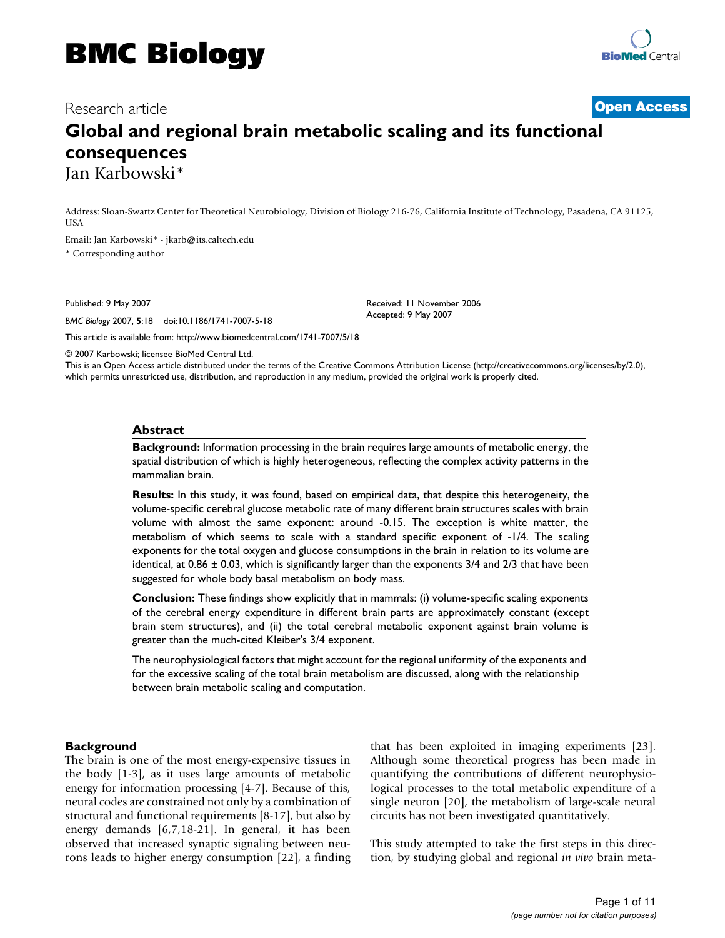# **Global and regional brain metabolic scaling and its functional consequences** Jan Karbowski\*

Address: Sloan-Swartz Center for Theoretical Neurobiology, Division of Biology 216-76, California Institute of Technology, Pasadena, CA 91125, **USA** 

Email: Jan Karbowski\* - jkarb@its.caltech.edu

\* Corresponding author

Published: 9 May 2007

*BMC Biology* 2007, **5**:18 doi:10.1186/1741-7007-5-18

Received: 11 November 2006 Accepted: 9 May 2007

© 2007 Karbowski; licensee BioMed Central Ltd.

[This article is available from: http://www.biomedcentral.com/1741-7007/5/18](http://www.biomedcentral.com/1741-7007/5/18)

This is an Open Access article distributed under the terms of the Creative Commons Attribution License [\(http://creativecommons.org/licenses/by/2.0\)](http://creativecommons.org/licenses/by/2.0), which permits unrestricted use, distribution, and reproduction in any medium, provided the original work is properly cited.

### **Abstract**

**Background:** Information processing in the brain requires large amounts of metabolic energy, the spatial distribution of which is highly heterogeneous, reflecting the complex activity patterns in the mammalian brain.

**Results:** In this study, it was found, based on empirical data, that despite this heterogeneity, the volume-specific cerebral glucose metabolic rate of many different brain structures scales with brain volume with almost the same exponent: around -0.15. The exception is white matter, the metabolism of which seems to scale with a standard specific exponent of -1/4. The scaling exponents for the total oxygen and glucose consumptions in the brain in relation to its volume are identical, at  $0.86 \pm 0.03$ , which is significantly larger than the exponents  $3/4$  and  $2/3$  that have been suggested for whole body basal metabolism on body mass.

**Conclusion:** These findings show explicitly that in mammals: (i) volume-specific scaling exponents of the cerebral energy expenditure in different brain parts are approximately constant (except brain stem structures), and (ii) the total cerebral metabolic exponent against brain volume is greater than the much-cited Kleiber's 3/4 exponent.

The neurophysiological factors that might account for the regional uniformity of the exponents and for the excessive scaling of the total brain metabolism are discussed, along with the relationship between brain metabolic scaling and computation.

### **Background**

The brain is one of the most energy-expensive tissues in the body [1-3], as it uses large amounts of metabolic energy for information processing [4-7]. Because of this, neural codes are constrained not only by a combination of structural and functional requirements [8-17], but also by energy demands [6,7,18-21]. In general, it has been observed that increased synaptic signaling between neurons leads to higher energy consumption [22], a finding that has been exploited in imaging experiments [23]. Although some theoretical progress has been made in quantifying the contributions of different neurophysiological processes to the total metabolic expenditure of a single neuron [20], the metabolism of large-scale neural circuits has not been investigated quantitatively.

This study attempted to take the first steps in this direction, by studying global and regional *in vivo* brain meta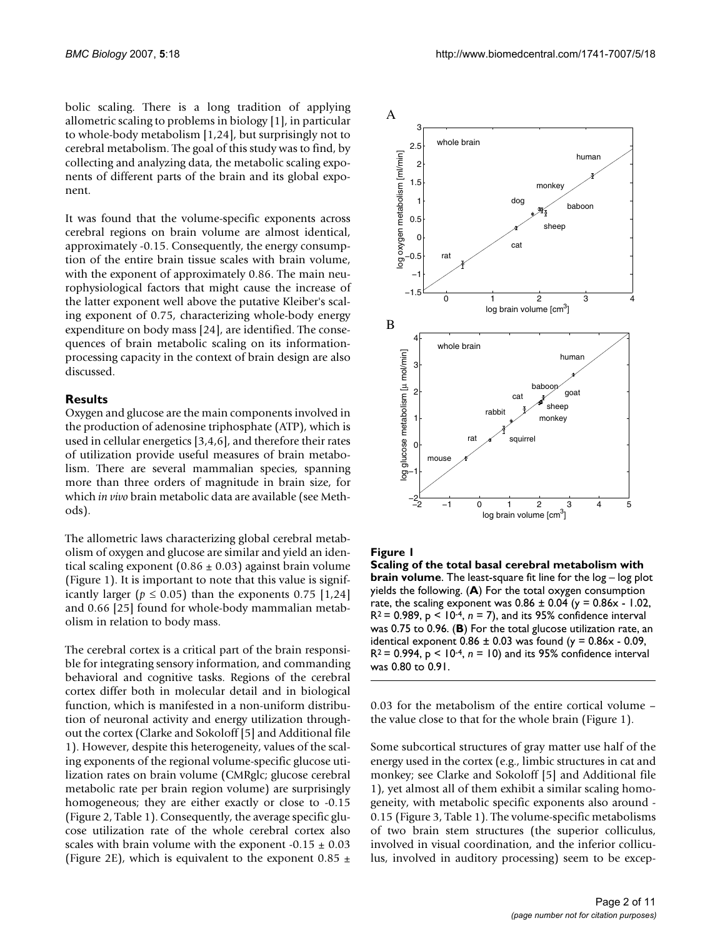bolic scaling. There is a long tradition of applying allometric scaling to problems in biology [1], in particular to whole-body metabolism [1,24], but surprisingly not to cerebral metabolism. The goal of this study was to find, by collecting and analyzing data, the metabolic scaling exponents of different parts of the brain and its global exponent.

It was found that the volume-specific exponents across cerebral regions on brain volume are almost identical, approximately -0.15. Consequently, the energy consumption of the entire brain tissue scales with brain volume, with the exponent of approximately 0.86. The main neurophysiological factors that might cause the increase of the latter exponent well above the putative Kleiber's scaling exponent of 0.75, characterizing whole-body energy expenditure on body mass [24], are identified. The consequences of brain metabolic scaling on its informationprocessing capacity in the context of brain design are also discussed.

### **Results**

Oxygen and glucose are the main components involved in the production of adenosine triphosphate (ATP), which is used in cellular energetics [3,4,6], and therefore their rates of utilization provide useful measures of brain metabolism. There are several mammalian species, spanning more than three orders of magnitude in brain size, for which *in vivo* brain metabolic data are available (see Methods).

The allometric laws characterizing global cerebral metabolism of oxygen and glucose are similar and yield an identical scaling exponent (0.86  $\pm$  0.03) against brain volume (Figure 1). It is important to note that this value is significantly larger ( $p \le 0.05$ ) than the exponents 0.75 [1,24] and 0.66 [25] found for whole-body mammalian metabolism in relation to body mass.

The cerebral cortex is a critical part of the brain responsible for integrating sensory information, and commanding behavioral and cognitive tasks. Regions of the cerebral cortex differ both in molecular detail and in biological function, which is manifested in a non-uniform distribution of neuronal activity and energy utilization throughout the cortex (Clarke and Sokoloff [5] and Additional file 1). However, despite this heterogeneity, values of the scaling exponents of the regional volume-specific glucose utilization rates on brain volume (CMRglc; glucose cerebral metabolic rate per brain region volume) are surprisingly homogeneous; they are either exactly or close to -0.15 (Figure 2, Table 1). Consequently, the average specific glucose utilization rate of the whole cerebral cortex also scales with brain volume with the exponent -0.15  $\pm$  0.03 (Figure 2E), which is equivalent to the exponent  $0.85 \pm 1$ 



### **Figure 1**

**Scaling of the total basal cerebral metabolism with brain volume**. The least-square fit line for the log – log plot yields the following. (**A**) For the total oxygen consumption rate, the scaling exponent was  $0.86 \pm 0.04$  (y = 0.86x - 1.02,  $R^2$  = 0.989,  $p < 10^{-4}$ ,  $n = 7$ ), and its 95% confidence interval was 0.75 to 0.96. (**B**) For the total glucose utilization rate, an identical exponent  $0.86 \pm 0.03$  was found (y =  $0.86x - 0.09$ ,  $R^2 = 0.994$ ,  $p < 10^{-4}$ ,  $n = 10$ ) and its 95% confidence interval was 0.80 to 0.91.

0.03 for the metabolism of the entire cortical volume – the value close to that for the whole brain (Figure 1).

Some subcortical structures of gray matter use half of the energy used in the cortex (e.g., limbic structures in cat and monkey; see Clarke and Sokoloff [5] and Additional file 1), yet almost all of them exhibit a similar scaling homogeneity, with metabolic specific exponents also around - 0.15 (Figure 3, Table 1). The volume-specific metabolisms of two brain stem structures (the superior colliculus, involved in visual coordination, and the inferior colliculus, involved in auditory processing) seem to be excep-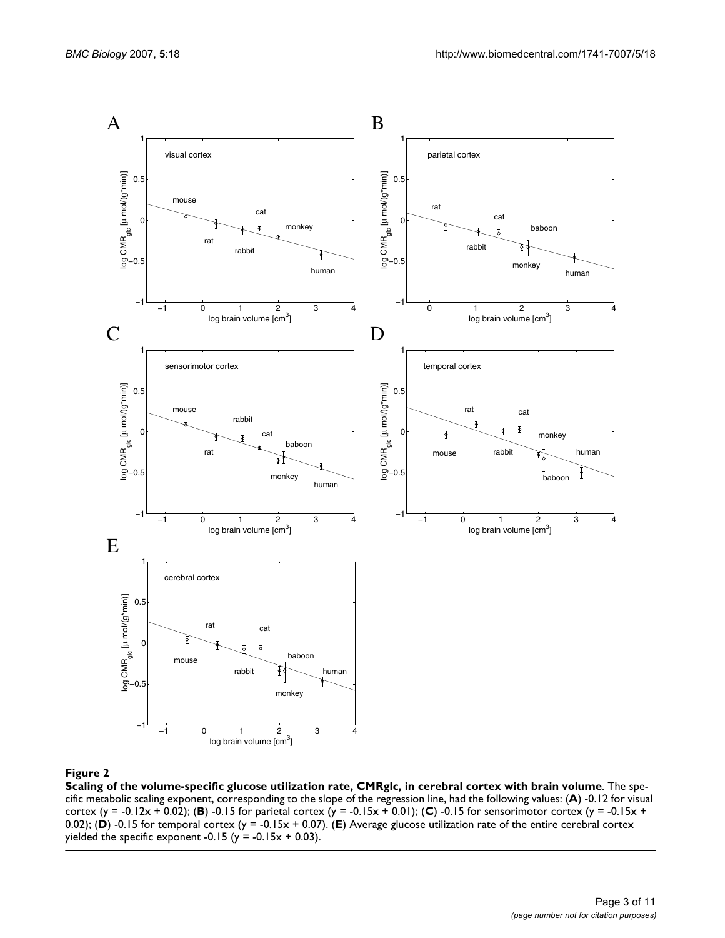

### Scaling of the volume-specific gluc **Figure 2** ose utilization rate, CMRglc, in cerebral cortex with brain volume

**Scaling of the volume-specific glucose utilization rate, CMRglc, in cerebral cortex with brain volume**. The specific metabolic scaling exponent, corresponding to the slope of the regression line, had the following values: (**A**) -0.12 for visual cortex (y = -0.12x + 0.02); (**B**) -0.15 for parietal cortex (y = -0.15x + 0.01); (**C**) -0.15 for sensorimotor cortex (y = -0.15x + 0.02); (**D**) -0.15 for temporal cortex (y = -0.15x + 0.07). (**E**) Average glucose utilization rate of the entire cerebral cortex yielded the specific exponent -0.15 ( $y = -0.15x + 0.03$ ).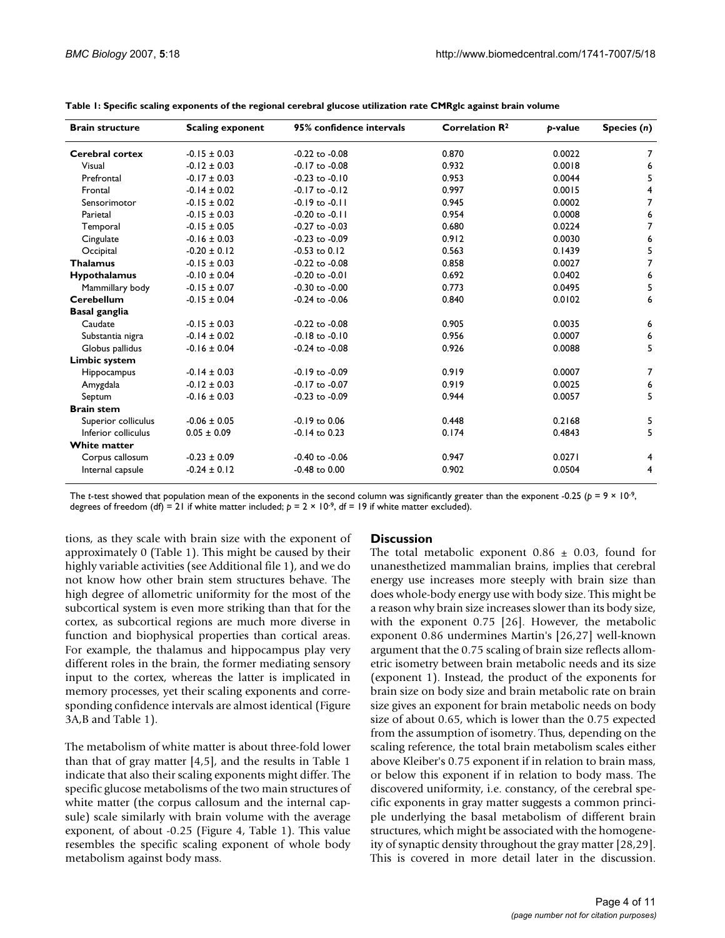| <b>Brain structure</b> | <b>Scaling exponent</b> | 95% confidence intervals | <b>Correlation R2</b> | p-value | Species (n) |
|------------------------|-------------------------|--------------------------|-----------------------|---------|-------------|
| <b>Cerebral cortex</b> | $-0.15 \pm 0.03$        | $-0.22$ to $-0.08$       | 0.870                 | 0.0022  | 7           |
| Visual                 | $-0.12 \pm 0.03$        | $-0.17$ to $-0.08$       | 0.932                 | 0.0018  | 6           |
| Prefrontal             | $-0.17 \pm 0.03$        | $-0.23$ to $-0.10$       | 0.953                 | 0.0044  | 5           |
| Frontal                | $-0.14 \pm 0.02$        | $-0.17$ to $-0.12$       | 0.997                 | 0.0015  | 4           |
| Sensorimotor           | $-0.15 \pm 0.02$        | $-0.19$ to $-0.11$       | 0.945                 | 0.0002  | 7           |
| Parietal               | $-0.15 \pm 0.03$        | $-0.20$ to $-0.11$       | 0.954                 | 0.0008  | 6           |
| Temporal               | $-0.15 \pm 0.05$        | $-0.27$ to $-0.03$       | 0.680                 | 0.0224  | 7           |
| Cingulate              | $-0.16 \pm 0.03$        | $-0.23$ to $-0.09$       | 0.912                 | 0.0030  | 6           |
| Occipital              | $-0.20 \pm 0.12$        | $-0.53$ to $0.12$        | 0.563                 | 0.1439  | 5           |
| <b>Thalamus</b>        | $-0.15 \pm 0.03$        | $-0.22$ to $-0.08$       | 0.858                 | 0.0027  | 7           |
| <b>Hypothalamus</b>    | $-0.10 \pm 0.04$        | $-0.20$ to $-0.01$       | 0.692                 | 0.0402  | 6           |
| Mammillary body        | $-0.15 \pm 0.07$        | $-0.30$ to $-0.00$       | 0.773                 | 0.0495  | 5           |
| <b>Cerebellum</b>      | $-0.15 \pm 0.04$        | $-0.24$ to $-0.06$       | 0.840                 | 0.0102  | 6           |
| Basal ganglia          |                         |                          |                       |         |             |
| Caudate                | $-0.15 \pm 0.03$        | $-0.22$ to $-0.08$       | 0.905                 | 0.0035  | 6           |
| Substantia nigra       | $-0.14 \pm 0.02$        | $-0.18$ to $-0.10$       | 0.956                 | 0.0007  | 6           |
| Globus pallidus        | $-0.16 \pm 0.04$        | $-0.24$ to $-0.08$       | 0.926                 | 0.0088  | 5           |
| <b>Limbic system</b>   |                         |                          |                       |         |             |
| Hippocampus            | $-0.14 \pm 0.03$        | $-0.19$ to $-0.09$       | 0.919                 | 0.0007  | 7           |
| Amygdala               | $-0.12 \pm 0.03$        | -0.17 to -0.07           | 0.919                 | 0.0025  | 6           |
| Septum                 | $-0.16 \pm 0.03$        | -0.23 to -0.09           | 0.944                 | 0.0057  | 5           |
| <b>Brain stem</b>      |                         |                          |                       |         |             |
| Superior colliculus    | $-0.06 \pm 0.05$        | $-0.19$ to 0.06          | 0.448                 | 0.2168  | 5           |
| Inferior colliculus    | $0.05 \pm 0.09$         | $-0.14$ to 0.23          | 0.174                 | 0.4843  | 5           |
| White matter           |                         |                          |                       |         |             |
| Corpus callosum        | $-0.23 \pm 0.09$        | $-0.40$ to $-0.06$       | 0.947                 | 0.0271  | 4           |
| Internal capsule       | $-0.24 \pm 0.12$        | $-0.48$ to $0.00$        | 0.902                 | 0.0504  | 4           |

| Table 1: Specific scaling exponents of the regional cerebral glucose utilization rate CMRglc against brain volume |  |
|-------------------------------------------------------------------------------------------------------------------|--|
|-------------------------------------------------------------------------------------------------------------------|--|

The *t*-test showed that population mean of the exponents in the second column was significantly greater than the exponent -0.25 ( $p = 9 \times 10^{-9}$ , degrees of freedom (df) = 21 if white matter included;  $p = 2 \times 10^{-9}$ , df = 19 if white matter excluded).

tions, as they scale with brain size with the exponent of approximately 0 (Table 1). This might be caused by their highly variable activities (see Additional file 1), and we do not know how other brain stem structures behave. The high degree of allometric uniformity for the most of the subcortical system is even more striking than that for the cortex, as subcortical regions are much more diverse in function and biophysical properties than cortical areas. For example, the thalamus and hippocampus play very different roles in the brain, the former mediating sensory input to the cortex, whereas the latter is implicated in memory processes, yet their scaling exponents and corresponding confidence intervals are almost identical (Figure 3A,B and Table 1).

The metabolism of white matter is about three-fold lower than that of gray matter [4,5], and the results in Table 1 indicate that also their scaling exponents might differ. The specific glucose metabolisms of the two main structures of white matter (the corpus callosum and the internal capsule) scale similarly with brain volume with the average exponent, of about -0.25 (Figure 4, Table 1). This value resembles the specific scaling exponent of whole body metabolism against body mass.

# **Discussion**

The total metabolic exponent  $0.86 \pm 0.03$ , found for unanesthetized mammalian brains, implies that cerebral energy use increases more steeply with brain size than does whole-body energy use with body size. This might be a reason why brain size increases slower than its body size, with the exponent 0.75 [26]. However, the metabolic exponent 0.86 undermines Martin's [26,27] well-known argument that the 0.75 scaling of brain size reflects allometric isometry between brain metabolic needs and its size (exponent 1). Instead, the product of the exponents for brain size on body size and brain metabolic rate on brain size gives an exponent for brain metabolic needs on body size of about 0.65, which is lower than the 0.75 expected from the assumption of isometry. Thus, depending on the scaling reference, the total brain metabolism scales either above Kleiber's 0.75 exponent if in relation to brain mass, or below this exponent if in relation to body mass. The discovered uniformity, i.e. constancy, of the cerebral specific exponents in gray matter suggests a common principle underlying the basal metabolism of different brain structures, which might be associated with the homogeneity of synaptic density throughout the gray matter [28,29]. This is covered in more detail later in the discussion.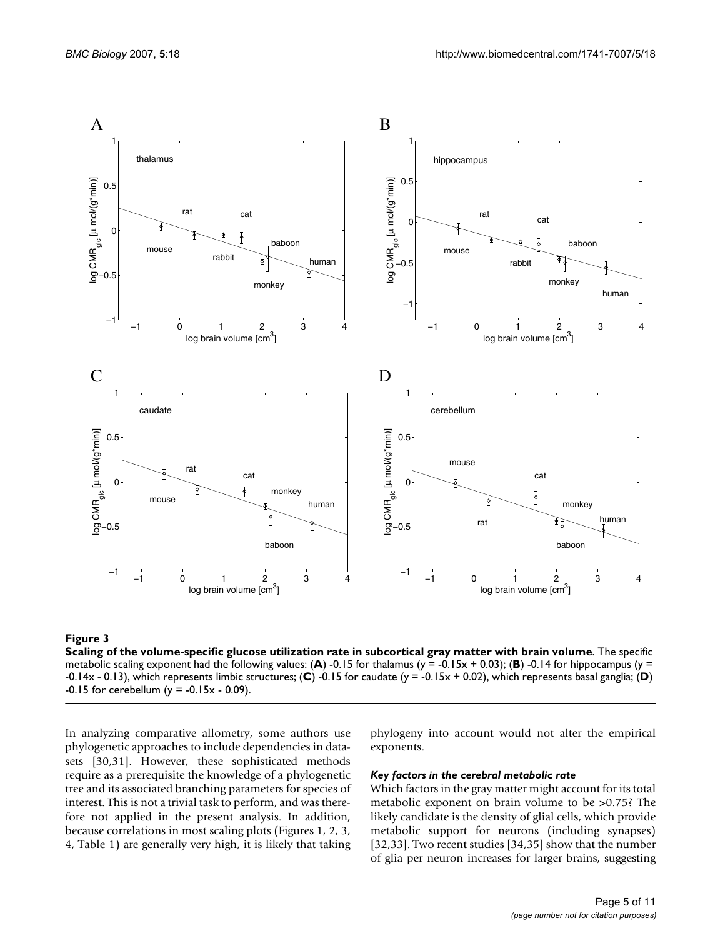

### Scaling of the volume-specific gl **Figure 3** ucose utilization rate in subcortical gray matter with brain volume

**Scaling of the volume-specific glucose utilization rate in subcortical gray matter with brain volume**. The specific metabolic scaling exponent had the following values: (A) -0.15 for thalamus ( $y = -0.15x + 0.03$ ); (B) -0.14 for hippocampus ( $y =$ -0.14x - 0.13), which represents limbic structures; (**C**) -0.15 for caudate (y = -0.15x + 0.02), which represents basal ganglia; (**D**)  $-0.15$  for cerebellum (y =  $-0.15x - 0.09$ ).

In analyzing comparative allometry, some authors use phylogenetic approaches to include dependencies in datasets [30,31]. However, these sophisticated methods require as a prerequisite the knowledge of a phylogenetic tree and its associated branching parameters for species of interest. This is not a trivial task to perform, and was therefore not applied in the present analysis. In addition, because correlations in most scaling plots (Figures 1, 2, 3, 4, Table 1) are generally very high, it is likely that taking phylogeny into account would not alter the empirical exponents.

### *Key factors in the cerebral metabolic rate*

Which factors in the gray matter might account for its total metabolic exponent on brain volume to be >0.75? The likely candidate is the density of glial cells, which provide metabolic support for neurons (including synapses) [32,33]. Two recent studies [34,35] show that the number of glia per neuron increases for larger brains, suggesting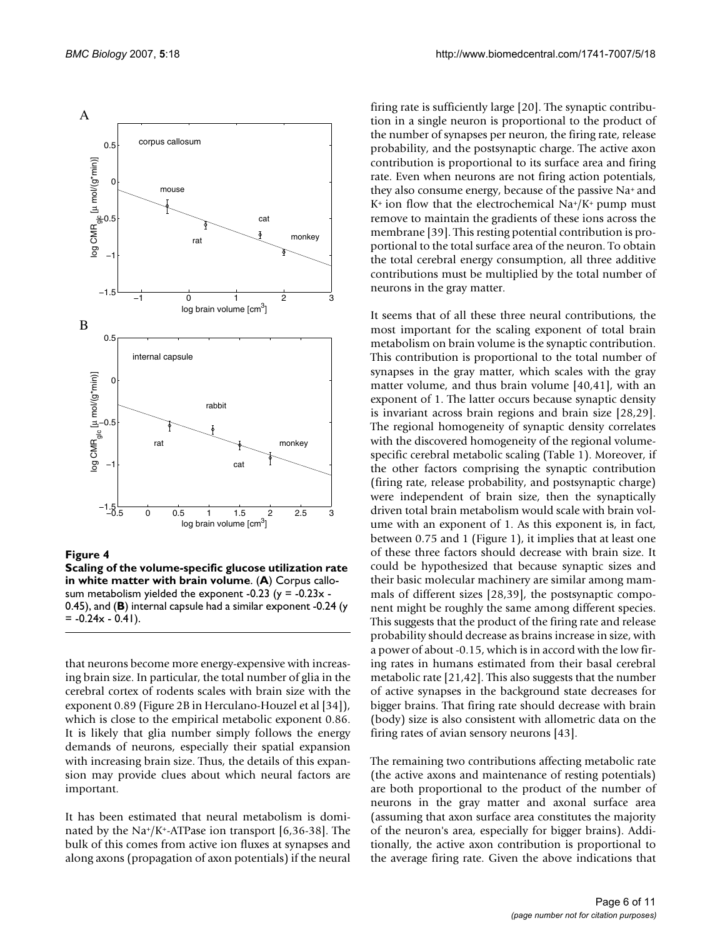

Figure 4 **Scaling of the volume-specific glucose utilization rate in white matter with brain volume**. (**A**) Corpus callosum metabolism yielded the exponent -0.23 ( $y = -0.23x$  -0.45), and (**B**) internal capsule had a similar exponent -0.24 (y  $= -0.24x - 0.41$ .

that neurons become more energy-expensive with increasing brain size. In particular, the total number of glia in the cerebral cortex of rodents scales with brain size with the exponent 0.89 (Figure 2B in Herculano-Houzel et al [34]), which is close to the empirical metabolic exponent 0.86. It is likely that glia number simply follows the energy demands of neurons, especially their spatial expansion with increasing brain size. Thus, the details of this expansion may provide clues about which neural factors are important.

It has been estimated that neural metabolism is domi-nated by the Na<sup>+</sup>/K<sup>+</sup>-ATPase ion transport [6,[36-](#page-9-0)38]. The bulk of this comes from active ion fluxes at synapses and along axons (propagation of axon potentials) if the neural

firing rate is sufficiently large [20]. The synaptic contribution in a single neuron is proportional to the product of the number of synapses per neuron, the firing rate, release probability, and the postsynaptic charge. The active axon contribution is proportional to its surface area and firing rate. Even when neurons are not firing action potentials, they also consume energy, because of the passive Na+ and  $K^+$  ion flow that the electrochemical Na+/K+ pump must remove to maintain the gradients of these ions across the membrane [39]. This resting potential contribution is proportional to the total surface area of the neuron. To obtain the total cerebral energy consumption, all three additive contributions must be multiplied by the total number of neurons in the gray matter.

It seems that of all these three neural contributions, the most important for the scaling exponent of total brain metabolism on brain volume is the synaptic contribution. This contribution is proportional to the total number of synapses in the gray matter, which scales with the gray matter volume, and thus brain volume [40,41], with an exponent of 1. The latter occurs because synaptic density is invariant across brain regions and brain size [28,29]. The regional homogeneity of synaptic density correlates with the discovered homogeneity of the regional volumespecific cerebral metabolic scaling (Table 1). Moreover, if the other factors comprising the synaptic contribution (firing rate, release probability, and postsynaptic charge) were independent of brain size, then the synaptically driven total brain metabolism would scale with brain volume with an exponent of 1. As this exponent is, in fact, between 0.75 and 1 (Figure 1), it implies that at least one of these three factors should decrease with brain size. It could be hypothesized that because synaptic sizes and their basic molecular machinery are similar among mammals of different sizes [28,39], the postsynaptic component might be roughly the same among different species. This suggests that the product of the firing rate and release probability should decrease as brains increase in size, with a power of about -0.15, which is in accord with the low firing rates in humans estimated from their basal cerebral metabolic rate [21,42]. This also suggests that the number of active synapses in the background state decreases for bigger brains. That firing rate should decrease with brain (body) size is also consistent with allometric data on the firing rates of avian sensory neurons [43].

The remaining two contributions affecting metabolic rate (the active axons and maintenance of resting potentials) are both proportional to the product of the number of neurons in the gray matter and axonal surface area (assuming that axon surface area constitutes the majority of the neuron's area, especially for bigger brains). Additionally, the active axon contribution is proportional to the average firing rate. Given the above indications that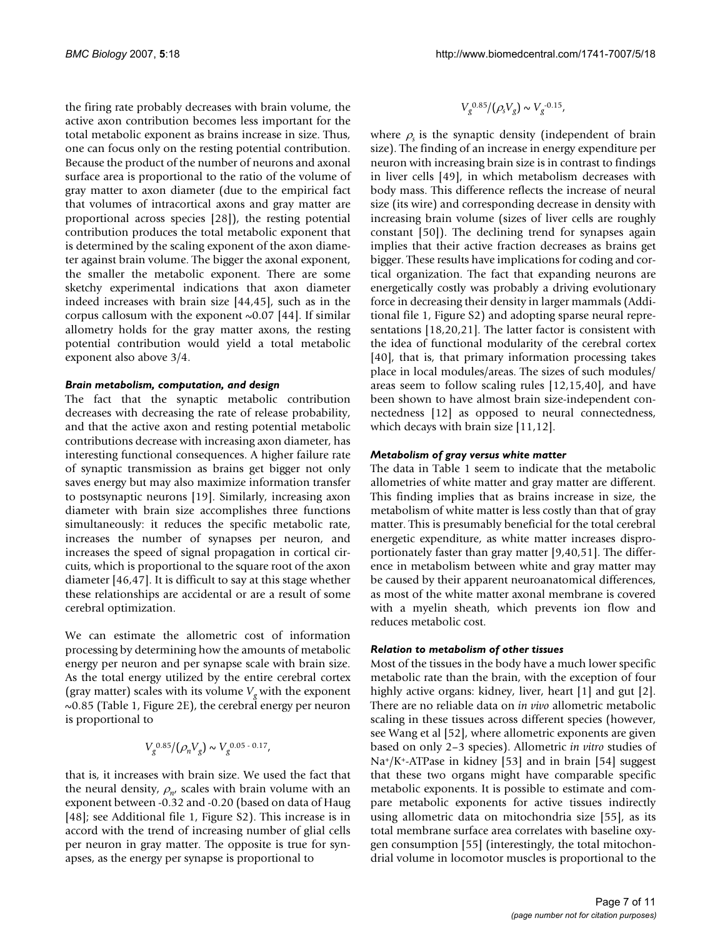the firing rate probably decreases with brain volume, the active axon contribution becomes less important for the total metabolic exponent as brains increase in size. Thus, one can focus only on the resting potential contribution. Because the product of the number of neurons and axonal surface area is proportional to the ratio of the volume of gray matter to axon diameter (due to the empirical fact that volumes of intracortical axons and gray matter are proportional across species [28]), the resting potential contribution produces the total metabolic exponent that is determined by the scaling exponent of the axon diameter against brain volume. The bigger the axonal exponent, the smaller the metabolic exponent. There are some sketchy experimental indications that axon diameter indeed increases with brain size [44,45], such as in the corpus callosum with the exponent  $\sim 0.07$  [44]. If similar allometry holds for the gray matter axons, the resting potential contribution would yield a total metabolic exponent also above 3/4.

### *Brain metabolism, computation, and design*

The fact that the synaptic metabolic contribution decreases with decreasing the rate of release probability, and that the active axon and resting potential metabolic contributions decrease with increasing axon diameter, has interesting functional consequences. A higher failure rate of synaptic transmission as brains get bigger not only saves energy but may also maximize information transfer to postsynaptic neurons [19]. Similarly, increasing axon diameter with brain size accomplishes three functions simultaneously: it reduces the specific metabolic rate, increases the number of synapses per neuron, and increases the speed of signal propagation in cortical circuits, which is proportional to the square root of the axon diameter [46,47]. It is difficult to say at this stage whether these relationships are accidental or are a result of some cerebral optimization.

We can estimate the allometric cost of information processing by determining how the amounts of metabolic energy per neuron and per synapse scale with brain size. As the total energy utilized by the entire cerebral cortex (gray matter) scales with its volume  $V_g$  with the exponent  $\sim$ 0.85 (Table 1, Figure 2E), the cerebral energy per neuron is proportional to

$$
V_g^{0.85}/(\rho_n V_g) \sim V_g^{0.05 - 0.17},
$$

that is, it increases with brain size. We used the fact that the neural density,  $\rho_{n}$  scales with brain volume with an exponent between -0.32 and -0.20 (based on data of Haug [48]; see Additional file 1, Figure S2). This increase is in accord with the trend of increasing number of glial cells per neuron in gray matter. The opposite is true for synapses, as the energy per synapse is proportional to

# $V_g^{0.85}/(\rho_s V_g) \sim V_g^{0.15}$

where  $\rho$ <sub>s</sub> is the synaptic density (independent of brain size). The finding of an increase in energy expenditure per neuron with increasing brain size is in contrast to findings in liver cells [49], in which metabolism decreases with body mass. This difference reflects the increase of neural size (its wire) and corresponding decrease in density with increasing brain volume (sizes of liver cells are roughly constant [50]). The declining trend for synapses again implies that their active fraction decreases as brains get bigger. These results have implications for coding and cortical organization. The fact that expanding neurons are energetically costly was probably a driving evolutionary force in decreasing their density in larger mammals (Additional file 1, Figure S2) and adopting sparse neural representations [18,20,21]. The latter factor is consistent with the idea of functional modularity of the cerebral cortex [40], that is, that primary information processing takes place in local modules/areas. The sizes of such modules/ areas seem to follow scaling rules [12,15,40], and have been shown to have almost brain size-independent connectedness [12] as opposed to neural connectedness, which decays with brain size [11,12].

### *Metabolism of gray versus white matter*

The data in Table 1 seem to indicate that the metabolic allometries of white matter and gray matter are different. This finding implies that as brains increase in size, the metabolism of white matter is less costly than that of gray matter. This is presumably beneficial for the total cerebral energetic expenditure, as white matter increases disproportionately faster than gray matter [9,40,51]. The difference in metabolism between white and gray matter may be caused by their apparent neuroanatomical differences, as most of the white matter axonal membrane is covered with a myelin sheath, which prevents ion flow and reduces metabolic cost.

### *Relation to metabolism of other tissues*

Most of the tissues in the body have a much lower specific metabolic rate than the brain, with the exception of four highly active organs: kidney, liver, heart [1] and gut [2]. There are no reliable data on *in vivo* allometric metabolic scaling in these tissues across different species (however, see Wang et al [52], where allometric exponents are given based on only 2–3 species). Allometric *in vitro* studies of  $Na<sup>+</sup>/K<sup>+</sup>-ATPase$  in kidney [53] and in brain [54] suggest that these two organs might have comparable specific metabolic exponents. It is possible to estimate and compare metabolic exponents for active tissues indirectly using allometric data on mitochondria size [55], as its total membrane surface area correlates with baseline oxygen consumption [55] (interestingly, the total mitochondrial volume in locomotor muscles is proportional to the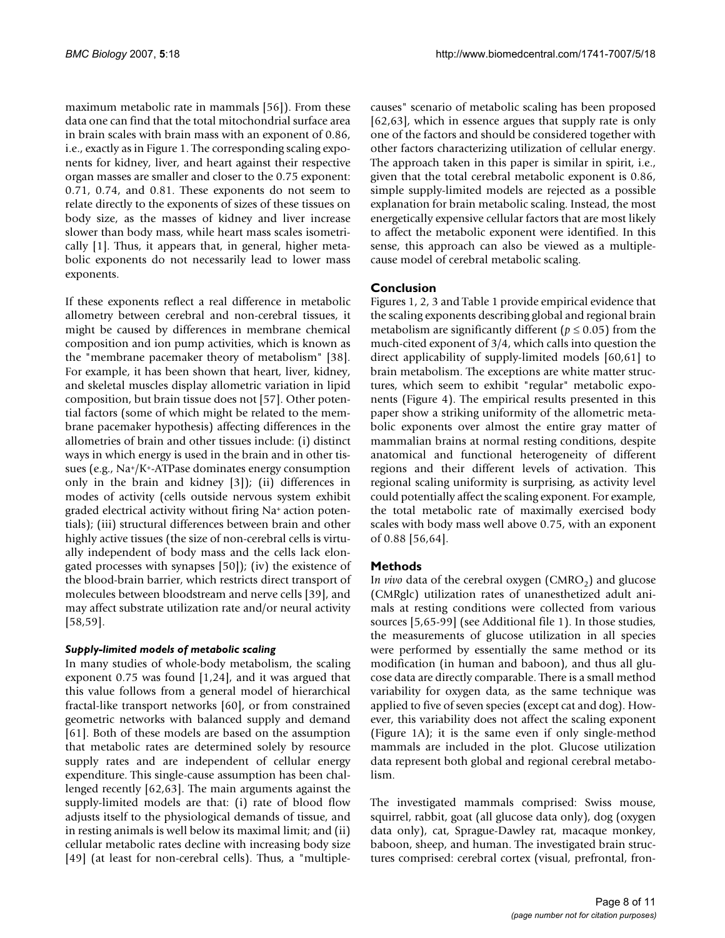maximum metabolic rate in mammals [56]). From these data one can find that the total mitochondrial surface area in brain scales with brain mass with an exponent of 0.86, i.e., exactly as in Figure 1. The corresponding scaling exponents for kidney, liver, and heart against their respective organ masses are smaller and closer to the 0.75 exponent: 0.71, 0.74, and 0.81. These exponents do not seem to relate directly to the exponents of sizes of these tissues on body size, as the masses of kidney and liver increase slower than body mass, while heart mass scales isometrically [1]. Thus, it appears that, in general, higher metabolic exponents do not necessarily lead to lower mass exponents.

If these exponents reflect a real difference in metabolic allometry between cerebral and non-cerebral tissues, it might be caused by differences in membrane chemical composition and ion pump activities, which is known as the "membrane pacemaker theory of metabolism" [38]. For example, it has been shown that heart, liver, kidney, and skeletal muscles display allometric variation in lipid composition, but brain tissue does not [57]. Other potential factors (some of which might be related to the membrane pacemaker hypothesis) affecting differences in the allometries of brain and other tissues include: (i) distinct ways in which energy is used in the brain and in other tissues (e.g., Na+/K+-ATPase dominates energy consumption only in the brain and kidney [3]); (ii) differences in modes of activity (cells outside nervous system exhibit graded electrical activity without firing Na+ action potentials); (iii) structural differences between brain and other highly active tissues (the size of non-cerebral cells is virtually independent of body mass and the cells lack elongated processes with synapses [50]); (iv) the existence of the blood-brain barrier, which restricts direct transport of molecules between bloodstream and nerve cells [39], and may affect substrate utilization rate and/or neural activity [58,59].

# *Supply-limited models of metabolic scaling*

In many studies of whole-body metabolism, the scaling exponent 0.75 was found [1,24], and it was argued that this value follows from a general model of hierarchical fractal-like transport networks [60], or from constrained geometric networks with balanced supply and demand [61]. Both of these models are based on the assumption that metabolic rates are determined solely by resource supply rates and are independent of cellular energy expenditure. This single-cause assumption has been challenged recently [62,63]. The main arguments against the supply-limited models are that: (i) rate of blood flow adjusts itself to the physiological demands of tissue, and in resting animals is well below its maximal limit; and (ii) cellular metabolic rates decline with increasing body size [49] (at least for non-cerebral cells). Thus, a "multiplecauses" scenario of metabolic scaling has been proposed [62,63], which in essence argues that supply rate is only one of the factors and should be considered together with other factors characterizing utilization of cellular energy. The approach taken in this paper is similar in spirit, i.e., given that the total cerebral metabolic exponent is 0.86, simple supply-limited models are rejected as a possible explanation for brain metabolic scaling. Instead, the most energetically expensive cellular factors that are most likely to affect the metabolic exponent were identified. In this sense, this approach can also be viewed as a multiplecause model of cerebral metabolic scaling.

# **Conclusion**

Figures 1, 2, 3 and Table 1 provide empirical evidence that the scaling exponents describing global and regional brain metabolism are significantly different ( $p \le 0.05$ ) from the much-cited exponent of 3/4, which calls into question the direct applicability of supply-limited models [60,61] to brain metabolism. The exceptions are white matter structures, which seem to exhibit "regular" metabolic exponents (Figure 4). The empirical results presented in this paper show a striking uniformity of the allometric metabolic exponents over almost the entire gray matter of mammalian brains at normal resting conditions, despite anatomical and functional heterogeneity of different regions and their different levels of activation. This regional scaling uniformity is surprising, as activity level could potentially affect the scaling exponent. For example, the total metabolic rate of maximally exercised body scales with body mass well above 0.75, with an exponent of 0.88 [56,64].

# **Methods**

In vivo data of the cerebral oxygen (CMRO<sub>2</sub>) and glucose (CMRglc) utilization rates of unanesthetized adult animals at resting conditions were collected from various sources [5,65-99] (see Additional file 1). In those studies, the measurements of glucose utilization in all species were performed by essentially the same method or its modification (in human and baboon), and thus all glucose data are directly comparable. There is a small method variability for oxygen data, as the same technique was applied to five of seven species (except cat and dog). However, this variability does not affect the scaling exponent (Figure 1A); it is the same even if only single-method mammals are included in the plot. Glucose utilization data represent both global and regional cerebral metabolism.

The investigated mammals comprised: Swiss mouse, squirrel, rabbit, goat (all glucose data only), dog (oxygen data only), cat, Sprague-Dawley rat, macaque monkey, baboon, sheep, and human. The investigated brain structures comprised: cerebral cortex (visual, prefrontal, fron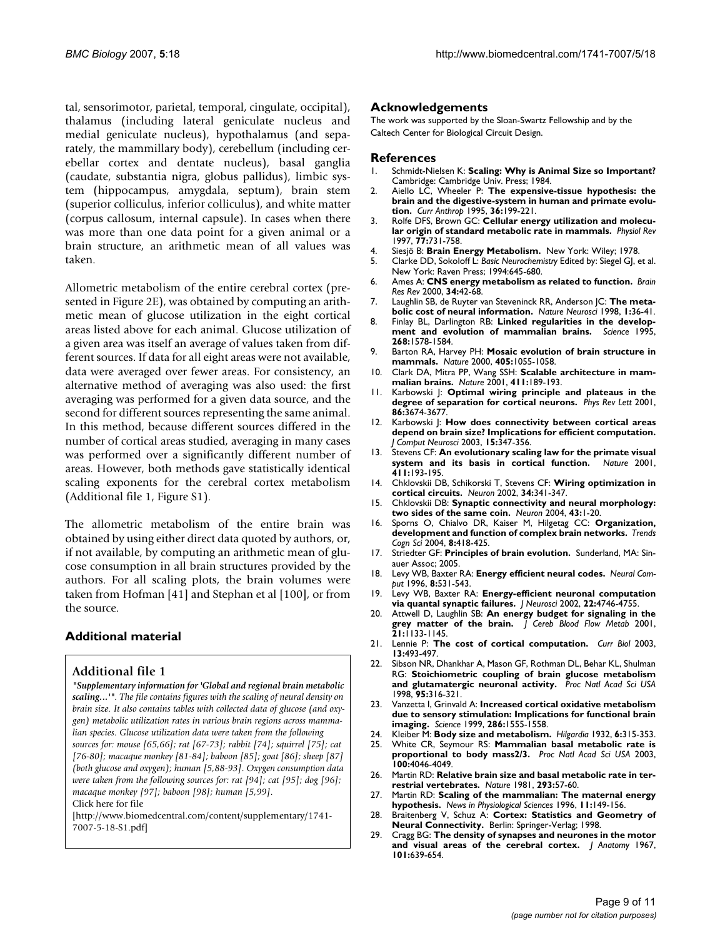tal, sensorimotor, parietal, temporal, cingulate, occipital), thalamus (including lateral geniculate nucleus and medial geniculate nucleus), hypothalamus (and separately, the mammillary body), cerebellum (including cerebellar cortex and dentate nucleus), basal ganglia (caudate, substantia nigra, globus pallidus), limbic system (hippocampus, amygdala, septum), brain stem (superior colliculus, inferior colliculus), and white matter (corpus callosum, internal capsule). In cases when there was more than one data point for a given animal or a brain structure, an arithmetic mean of all values was taken.

Allometric metabolism of the entire cerebral cortex (presented in Figure 2E), was obtained by computing an arithmetic mean of glucose utilization in the eight cortical areas listed above for each animal. Glucose utilization of a given area was itself an average of values taken from different sources. If data for all eight areas were not available, data were averaged over fewer areas. For consistency, an alternative method of averaging was also used: the first averaging was performed for a given data source, and the second for different sources representing the same animal. In this method, because different sources differed in the number of cortical areas studied, averaging in many cases was performed over a significantly different number of areas. However, both methods gave statistically identical scaling exponents for the cerebral cortex metabolism (Additional file 1, Figure S1).

The allometric metabolism of the entire brain was obtained by using either direct data quoted by authors, or, if not available, by computing an arithmetic mean of glucose consumption in all brain structures provided by the authors. For all scaling plots, the brain volumes were taken from Hofman [41] and Stephan et al [100], or from the source.

# **Additional material**

# **Additional file 1**

*"Supplementary information for 'Global and regional brain metabolic scaling...'". The file contains figures with the scaling of neural density on brain size. It also contains tables with collected data of glucose (and oxygen) metabolic utilization rates in various brain regions across mammalian species. Glucose utilization data were taken from the following sources for: mouse [65,66]; rat [67-73]; rabbit [74]; squirrel [75]; cat [76-80]; macaque monkey [81-84]; baboon [85]; goat [86]; sheep [87] (both glucose and oxygen); human [5,88[-93](#page-10-0)]. Oxygen consumption data were taken from the following sources for: rat [94]; cat [95]; dog [96]; macaque monkey [97]; baboon [98]; human [5,99].* Click here for file

[\[http://www.biomedcentral.com/content/supplementary/1741-](http://www.biomedcentral.com/content/supplementary/1741-7007-5-18-S1.pdf) 7007-5-18-S1.pdf]

### **Acknowledgements**

The work was supported by the Sloan-Swartz Fellowship and by the Caltech Center for Biological Circuit Design.

### **References**

- 1. Schmidt-Nielsen K: **[Scaling: Why is Animal Size so Important?](http://www.ncbi.nlm.nih.gov/entrez/query.fcgi?cmd=Retrieve&db=PubMed&dopt=Abstract&list_uids=6381437)** Cambridge: Cambridge Univ. Press; 1984.
- 2. Aiello LC, Wheeler P: **The expensive-tissue hypothesis: the brain and the digestive-system in human and primate evolution.** *Curr Anthrop* 1995, **36:**199-221.
- 3. Rolfe DFS, Brown GC: **[Cellular energy utilization and molecu](http://www.ncbi.nlm.nih.gov/entrez/query.fcgi?cmd=Retrieve&db=PubMed&dopt=Abstract&list_uids=9234964)[lar origin of standard metabolic rate in mammals.](http://www.ncbi.nlm.nih.gov/entrez/query.fcgi?cmd=Retrieve&db=PubMed&dopt=Abstract&list_uids=9234964)** *Physiol Rev* 1997, **77:**731-758.
- 4. Siesjö B: **Brain Energy Metabolism.** New York: Wiley; 1978.
- 5. Clarke DD, Sokoloff L: *Basic Neurochemistry* Edited by: Siegel GJ, et al. New York: Raven Press; 1994:645-680.
- 6. Ames A: **[CNS energy metabolism as related to function.](http://www.ncbi.nlm.nih.gov/entrez/query.fcgi?cmd=Retrieve&db=PubMed&dopt=Abstract&list_uids=11086186)** *Brain Res Rev* 2000, **34:**42-68.
- 7. Laughlin SB, de Ruyter van Steveninck RR, Anderson JC: **[The meta](http://www.ncbi.nlm.nih.gov/entrez/query.fcgi?cmd=Retrieve&db=PubMed&dopt=Abstract&list_uids=10195106)[bolic cost of neural information.](http://www.ncbi.nlm.nih.gov/entrez/query.fcgi?cmd=Retrieve&db=PubMed&dopt=Abstract&list_uids=10195106)** *Nature Neurosci* 1998, **1:**36-41.
- 8. Finlay BL, Darlington RB: **[Linked regularities in the develop](http://www.ncbi.nlm.nih.gov/entrez/query.fcgi?cmd=Retrieve&db=PubMed&dopt=Abstract&list_uids=7777856)[ment and evolution of mammalian brains.](http://www.ncbi.nlm.nih.gov/entrez/query.fcgi?cmd=Retrieve&db=PubMed&dopt=Abstract&list_uids=7777856)** *Science* 1995, **268:**1578-1584.
- 9. Barton RA, Harvey PH: **[Mosaic evolution of brain structure in](http://www.ncbi.nlm.nih.gov/entrez/query.fcgi?cmd=Retrieve&db=PubMed&dopt=Abstract&list_uids=10890446) [mammals.](http://www.ncbi.nlm.nih.gov/entrez/query.fcgi?cmd=Retrieve&db=PubMed&dopt=Abstract&list_uids=10890446)** *Nature* 2000, **405:**1055-1058.
- 10. Clark DA, Mitra PP, Wang SSH: **[Scalable architecture in mam](http://www.ncbi.nlm.nih.gov/entrez/query.fcgi?cmd=Retrieve&db=PubMed&dopt=Abstract&list_uids=11346794)[malian brains.](http://www.ncbi.nlm.nih.gov/entrez/query.fcgi?cmd=Retrieve&db=PubMed&dopt=Abstract&list_uids=11346794)** *Nature* 2001, **411:**189-193.
- 11. Karbowski J: **[Optimal wiring principle and plateaus in the](http://www.ncbi.nlm.nih.gov/entrez/query.fcgi?cmd=Retrieve&db=PubMed&dopt=Abstract&list_uids=11328051) [degree of separation for cortical neurons.](http://www.ncbi.nlm.nih.gov/entrez/query.fcgi?cmd=Retrieve&db=PubMed&dopt=Abstract&list_uids=11328051)** *Phys Rev Lett* 2001, **86:**3674-3677.
- 12. Karbowski J: **[How does connectivity between cortical areas](http://www.ncbi.nlm.nih.gov/entrez/query.fcgi?cmd=Retrieve&db=PubMed&dopt=Abstract&list_uids=14618069) [depend on brain size? Implications for efficient computation.](http://www.ncbi.nlm.nih.gov/entrez/query.fcgi?cmd=Retrieve&db=PubMed&dopt=Abstract&list_uids=14618069)** *J Comput Neurosci* 2003, **15:**347-356.
- 13. Stevens CF: **[An evolutionary scaling law for the primate visual](http://www.ncbi.nlm.nih.gov/entrez/query.fcgi?cmd=Retrieve&db=PubMed&dopt=Abstract&list_uids=11346795)** [system and its basis in cortical function.](http://www.ncbi.nlm.nih.gov/entrez/query.fcgi?cmd=Retrieve&db=PubMed&dopt=Abstract&list_uids=11346795) **411:**193-195.
- 14. Chklovskii DB, Schikorski T, Stevens CF: **[Wiring optimization in](http://www.ncbi.nlm.nih.gov/entrez/query.fcgi?cmd=Retrieve&db=PubMed&dopt=Abstract&list_uids=11988166) [cortical circuits.](http://www.ncbi.nlm.nih.gov/entrez/query.fcgi?cmd=Retrieve&db=PubMed&dopt=Abstract&list_uids=11988166)** *Neuron* 2002, **34:**341-347.
- 15. Chklovskii DB: **[Synaptic connectivity and neural morphology:](http://www.ncbi.nlm.nih.gov/entrez/query.fcgi?cmd=Retrieve&db=PubMed&dopt=Abstract&list_uids=15233911) [two sides of the same coin.](http://www.ncbi.nlm.nih.gov/entrez/query.fcgi?cmd=Retrieve&db=PubMed&dopt=Abstract&list_uids=15233911)** *Neuron* 2004, **43:**1-20.
- 16. Sporns O, Chialvo DR, Kaiser M, Hilgetag CC: **[Organization,](http://www.ncbi.nlm.nih.gov/entrez/query.fcgi?cmd=Retrieve&db=PubMed&dopt=Abstract&list_uids=15350243) [development and function of complex brain networks.](http://www.ncbi.nlm.nih.gov/entrez/query.fcgi?cmd=Retrieve&db=PubMed&dopt=Abstract&list_uids=15350243)** *Trends Cogn Sci* 2004, **8:**418-425.
- 17. Striedter GF: **[Principles of brain evolution.](http://www.ncbi.nlm.nih.gov/entrez/query.fcgi?cmd=Retrieve&db=PubMed&dopt=Abstract&list_uids=15685220)** Sunderland, MA: Sinauer Assoc; 2005.
- 18. Levy WB, Baxter RA: **[Energy efficient neural codes.](http://www.ncbi.nlm.nih.gov/entrez/query.fcgi?cmd=Retrieve&db=PubMed&dopt=Abstract&list_uids=8868566)** *Neural Comput* 1996, **8:**531-543.
- 19. Levy WB, Baxter RA: **[Energy-efficient neuronal computation](http://www.ncbi.nlm.nih.gov/entrez/query.fcgi?cmd=Retrieve&db=PubMed&dopt=Abstract&list_uids=12040082) [via quantal synaptic failures.](http://www.ncbi.nlm.nih.gov/entrez/query.fcgi?cmd=Retrieve&db=PubMed&dopt=Abstract&list_uids=12040082)** *J Neurosci* 2002, **22:**4746-4755.
- 20. Attwell D, Laughlin SB: **[An energy budget for signaling in the](http://www.ncbi.nlm.nih.gov/entrez/query.fcgi?cmd=Retrieve&db=PubMed&dopt=Abstract&list_uids=11598490) [grey matter of the brain.](http://www.ncbi.nlm.nih.gov/entrez/query.fcgi?cmd=Retrieve&db=PubMed&dopt=Abstract&list_uids=11598490)** *J Cereb Blood Flow Metab* 2001, **21:**1133-1145.
- 21. Lennie P: **[The cost of cortical computation.](http://www.ncbi.nlm.nih.gov/entrez/query.fcgi?cmd=Retrieve&db=PubMed&dopt=Abstract&list_uids=12646132)** *Curr Biol* 2003, **13:**493-497.
- 22. Sibson NR, Dhankhar A, Mason GF, Rothman DL, Behar KL, Shulman RG: **[Stoichiometric coupling of brain glucose metabolism](http://www.ncbi.nlm.nih.gov/entrez/query.fcgi?cmd=Retrieve&db=PubMed&dopt=Abstract&list_uids=9419373) [and glutamatergic neuronal activity.](http://www.ncbi.nlm.nih.gov/entrez/query.fcgi?cmd=Retrieve&db=PubMed&dopt=Abstract&list_uids=9419373)** *Proc Natl Acad Sci USA* 1998, **95:**316-321.
- 23. Vanzetta I, Grinvald A: **[Increased cortical oxidative metabolism](http://www.ncbi.nlm.nih.gov/entrez/query.fcgi?cmd=Retrieve&db=PubMed&dopt=Abstract&list_uids=10567261) [due to sensory stimulation: Implications for functional brain](http://www.ncbi.nlm.nih.gov/entrez/query.fcgi?cmd=Retrieve&db=PubMed&dopt=Abstract&list_uids=10567261) [imaging.](http://www.ncbi.nlm.nih.gov/entrez/query.fcgi?cmd=Retrieve&db=PubMed&dopt=Abstract&list_uids=10567261)** *Science* 1999, **286:**1555-1558.
- 24. Kleiber M: **Body size and metabolism.** *Hilgardia* 1932, **6:**315-353.
- 25. White CR, Seymour RS: **[Mammalian basal metabolic rate is](http://www.ncbi.nlm.nih.gov/entrez/query.fcgi?cmd=Retrieve&db=PubMed&dopt=Abstract&list_uids=12637681) [proportional to body mass2/3.](http://www.ncbi.nlm.nih.gov/entrez/query.fcgi?cmd=Retrieve&db=PubMed&dopt=Abstract&list_uids=12637681)** *Proc Natl Acad Sci USA* 2003, **100:**4046-4049.
- 26. Martin RD: **[Relative brain size and basal metabolic rate in ter](http://www.ncbi.nlm.nih.gov/entrez/query.fcgi?cmd=Retrieve&db=PubMed&dopt=Abstract&list_uids=7266659)[restrial vertebrates.](http://www.ncbi.nlm.nih.gov/entrez/query.fcgi?cmd=Retrieve&db=PubMed&dopt=Abstract&list_uids=7266659)** *Nature* 1981, **293:**57-60.
- 27. Martin RD: **Scaling of the mammalian: The maternal energy hypothesis.** *News in Physiological Sciences* 1996, **11:**149-156.
- 28. Braitenberg V, Schuz A: **[Cortex: Statistics and Geometry of](http://www.ncbi.nlm.nih.gov/entrez/query.fcgi?cmd=Retrieve&db=PubMed&dopt=Abstract&list_uids=10352235) [Neural Connectivity.](http://www.ncbi.nlm.nih.gov/entrez/query.fcgi?cmd=Retrieve&db=PubMed&dopt=Abstract&list_uids=10352235)** Berlin: Springer-Verlag; 1998.
- 29. Cragg BG: **The density of synapses and neurones in the motor and visual areas of the cerebral cortex.** *J Anatomy* 1967, **101:**639-654.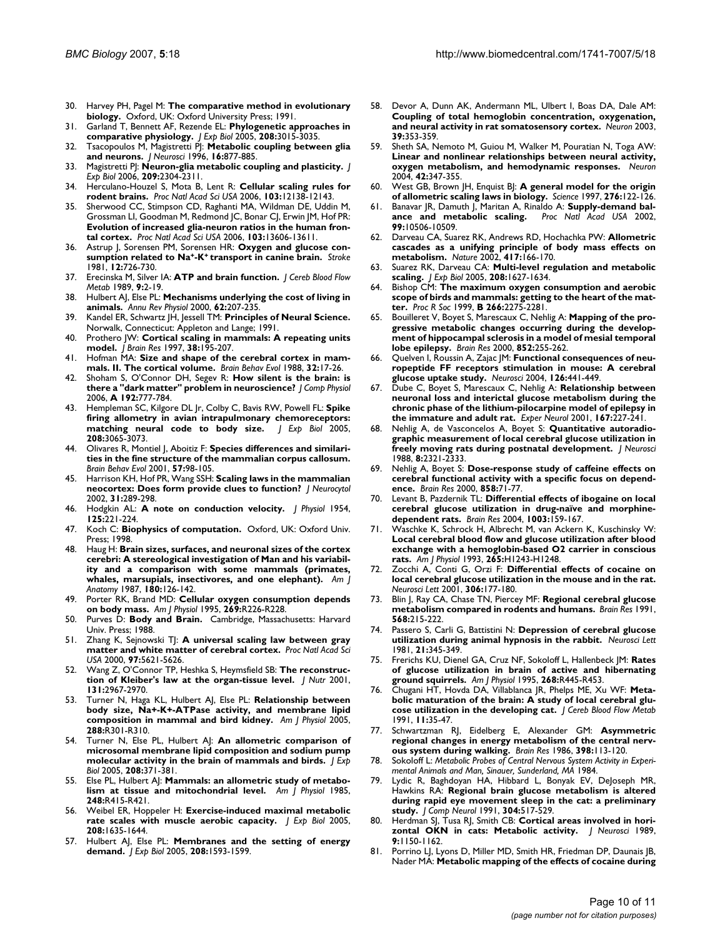- 30. Harvey PH, Pagel M: **The comparative method in evolutionary biology.** Oxford, UK: Oxford University Press; 1991.
- 31. Garland T, Bennett AF, Rezende EL: **[Phylogenetic approaches in](http://www.ncbi.nlm.nih.gov/entrez/query.fcgi?cmd=Retrieve&db=PubMed&dopt=Abstract&list_uids=16081601) [comparative physiology.](http://www.ncbi.nlm.nih.gov/entrez/query.fcgi?cmd=Retrieve&db=PubMed&dopt=Abstract&list_uids=16081601)** *J Exp Biol* 2005, **208:**3015-3035.
- 32. Tsacopoulos M, Magistretti PJ: **[Metabolic coupling between glia](http://www.ncbi.nlm.nih.gov/entrez/query.fcgi?cmd=Retrieve&db=PubMed&dopt=Abstract&list_uids=8558256) [and neurons.](http://www.ncbi.nlm.nih.gov/entrez/query.fcgi?cmd=Retrieve&db=PubMed&dopt=Abstract&list_uids=8558256)** *J Neurosci* 1996, **16:**877-885.
- 33. Magistretti PJ: **[Neuron-glia metabolic coupling and plasticity.](http://www.ncbi.nlm.nih.gov/entrez/query.fcgi?cmd=Retrieve&db=PubMed&dopt=Abstract&list_uids=16731806)** *J Exp Biol* 2006, **209:**2304-2311.
- 34. Herculano-Houzel S, Mota B, Lent R: **[Cellular scaling rules for](http://www.ncbi.nlm.nih.gov/entrez/query.fcgi?cmd=Retrieve&db=PubMed&dopt=Abstract&list_uids=16880386) [rodent brains.](http://www.ncbi.nlm.nih.gov/entrez/query.fcgi?cmd=Retrieve&db=PubMed&dopt=Abstract&list_uids=16880386)** *Proc Natl Acad Sci USA* 2006, **103:**12138-12143.
- 35. Sherwood CC, Stimpson CD, Raghanti MA, Wildman DE, Uddin M, Grossman LI, Goodman M, Redmond JC, Bonar CJ, Erwin JM, Hof PR: **[Evolution of increased glia-neuron ratios in the human fron](http://www.ncbi.nlm.nih.gov/entrez/query.fcgi?cmd=Retrieve&db=PubMed&dopt=Abstract&list_uids=16938869)[tal cortex.](http://www.ncbi.nlm.nih.gov/entrez/query.fcgi?cmd=Retrieve&db=PubMed&dopt=Abstract&list_uids=16938869)** *Proc Natl Acad Sci USA* 2006, **103:**13606-13611.
- <span id="page-9-0"></span>36. Astrup J, Sorensen PM, Sorensen HR: **Oxygen and glucose consumption related to Na+-K+ [transport in canine brain.](http://www.ncbi.nlm.nih.gov/entrez/query.fcgi?cmd=Retrieve&db=PubMed&dopt=Abstract&list_uids=7303061)** *Stroke* 1981, **12:**726-730.
- 37. Erecinska M, Silver IA: **[ATP and brain function.](http://www.ncbi.nlm.nih.gov/entrez/query.fcgi?cmd=Retrieve&db=PubMed&dopt=Abstract&list_uids=2642915)** *J Cereb Blood Flow Metab* 1989, **9:**2-19.
- 38. Hulbert AJ, Else PL: **[Mechanisms underlying the cost of living in](http://www.ncbi.nlm.nih.gov/entrez/query.fcgi?cmd=Retrieve&db=PubMed&dopt=Abstract&list_uids=10845090) [animals.](http://www.ncbi.nlm.nih.gov/entrez/query.fcgi?cmd=Retrieve&db=PubMed&dopt=Abstract&list_uids=10845090)** *Annu Rev Physiol* 2000, **62:**207-235.
- 39. Kandel ER, Schwartz JH, Jessell TM: **Principles of Neural Science.** Norwalk, Connecticut: Appleton and Lange; 1991.
- 40. Prothero JW: **Cortical scaling in mammals: A repeating units model.** *J Brain Res* 1997, **38:**195-207.
- 41. Hofman MA: **[Size and shape of the cerebral cortex in mam](http://www.ncbi.nlm.nih.gov/entrez/query.fcgi?cmd=Retrieve&db=PubMed&dopt=Abstract&list_uids=3056571)[mals. II. The cortical volume.](http://www.ncbi.nlm.nih.gov/entrez/query.fcgi?cmd=Retrieve&db=PubMed&dopt=Abstract&list_uids=3056571)** *Brain Behav Evol* 1988, **32:**17-26.
- 42. Shoham S, O'Connor DH, Segev R: **How silent is the brain: is there a "dark matter" problem in neuroscience?** *J Comp Physiol* 2006, **A 192:**777-784.
- 43. Hempleman SC, Kilgore DL Jr, Colby C, Bavis RW, Powell FL: **[Spike](http://www.ncbi.nlm.nih.gov/entrez/query.fcgi?cmd=Retrieve&db=PubMed&dopt=Abstract&list_uids=16081605) [firing allometry in avian intrapulmonary chemoreceptors:](http://www.ncbi.nlm.nih.gov/entrez/query.fcgi?cmd=Retrieve&db=PubMed&dopt=Abstract&list_uids=16081605) [matching neural code to body size.](http://www.ncbi.nlm.nih.gov/entrez/query.fcgi?cmd=Retrieve&db=PubMed&dopt=Abstract&list_uids=16081605)** *J Exp Biol* 2005, **208:**3065-3073.
- 44. Olivares R, Montiel J, Aboitiz F: **[Species differences and similari](http://www.ncbi.nlm.nih.gov/entrez/query.fcgi?cmd=Retrieve&db=PubMed&dopt=Abstract&list_uids=11435670)[ties in the fine structure of the mammalian corpus callosum.](http://www.ncbi.nlm.nih.gov/entrez/query.fcgi?cmd=Retrieve&db=PubMed&dopt=Abstract&list_uids=11435670)** *Brain Behav Evol* 2001, **57:**98-105.
- 45. Harrison KH, Hof PR, Wang SSH: **[Scaling laws in the mammalian](http://www.ncbi.nlm.nih.gov/entrez/query.fcgi?cmd=Retrieve&db=PubMed&dopt=Abstract&list_uids=12815248) [neocortex: Does form provide clues to function?](http://www.ncbi.nlm.nih.gov/entrez/query.fcgi?cmd=Retrieve&db=PubMed&dopt=Abstract&list_uids=12815248)** *J Neurocytol* 2002, **31:**289-298.
- 46. Hodgkin AL: **[A note on conduction velocity.](http://www.ncbi.nlm.nih.gov/entrez/query.fcgi?cmd=Retrieve&db=PubMed&dopt=Abstract&list_uids=13192767)** *J Physiol* 1954, **125:**221-224.
- 47. Koch C: **Biophysics of computation.** Oxford, UK: Oxford Univ. Press; 1998.
- 48. Haug H: **Brain sizes, surfaces, and neuronal sizes of the cortex cerebri: A stereological investigation of Man and his variability and a comparison with some mammals (primates, whales, marsupials, insectivores, and one elephant).** *Am J Anatomy* 1987, **180:**126-142.
- 49. Porter RK, Brand MD: **[Cellular oxygen consumption depends](http://www.ncbi.nlm.nih.gov/entrez/query.fcgi?cmd=Retrieve&db=PubMed&dopt=Abstract&list_uids=7631898) [on body mass.](http://www.ncbi.nlm.nih.gov/entrez/query.fcgi?cmd=Retrieve&db=PubMed&dopt=Abstract&list_uids=7631898)** *Am J Physiol* 1995, **269:**R226-R228.
- 50. Purves D: **Body and Brain.** Cambridge, Massachusetts: Harvard Univ. Press; 1988.
- 51. Zhang K, Sejnowski TJ: **[A universal scaling law between gray](http://www.ncbi.nlm.nih.gov/entrez/query.fcgi?cmd=Retrieve&db=PubMed&dopt=Abstract&list_uids=10792049) [matter and white matter of cerebral cortex.](http://www.ncbi.nlm.nih.gov/entrez/query.fcgi?cmd=Retrieve&db=PubMed&dopt=Abstract&list_uids=10792049)** *Proc Natl Acad Sci USA* 2000, **97:**5621-5626.
- 52. Wang Z, O'Connor TP, Heshka S, Heymsfield SB: **[The reconstruc](http://www.ncbi.nlm.nih.gov/entrez/query.fcgi?cmd=Retrieve&db=PubMed&dopt=Abstract&list_uids=11694627)[tion of Kleiber's law at the organ-tissue level.](http://www.ncbi.nlm.nih.gov/entrez/query.fcgi?cmd=Retrieve&db=PubMed&dopt=Abstract&list_uids=11694627)** *J Nutr* 2001, **131:**2967-2970.
- 53. Turner N, Haga KL, Hulbert AJ, Else PL: **Relationship between body size, Na+-K+-ATPase activity, and membrane lipid composition in mammal and bird kidney.** *Am J Physiol* 2005, **288:**R301-R310.
- 54. Turner N, Else PL, Hulbert AJ: **[An allometric comparison of](http://www.ncbi.nlm.nih.gov/entrez/query.fcgi?cmd=Retrieve&db=PubMed&dopt=Abstract&list_uids=15634855) [microsomal membrane lipid composition and sodium pump](http://www.ncbi.nlm.nih.gov/entrez/query.fcgi?cmd=Retrieve&db=PubMed&dopt=Abstract&list_uids=15634855) [molecular activity in the brain of mammals and birds.](http://www.ncbi.nlm.nih.gov/entrez/query.fcgi?cmd=Retrieve&db=PubMed&dopt=Abstract&list_uids=15634855)** *J Exp Biol* 2005, **208:**371-381.
- 55. Else PL, Hulbert AJ: **[Mammals: an allometric study of metabo](http://www.ncbi.nlm.nih.gov/entrez/query.fcgi?cmd=Retrieve&db=PubMed&dopt=Abstract&list_uids=3985183)[lism at tissue and mitochondrial level.](http://www.ncbi.nlm.nih.gov/entrez/query.fcgi?cmd=Retrieve&db=PubMed&dopt=Abstract&list_uids=3985183)** *Am J Physiol* 1985, **248:**R415-R421.
- 56. Weibel ER, Hoppeler H: **[Exercise-induced maximal metabolic](http://www.ncbi.nlm.nih.gov/entrez/query.fcgi?cmd=Retrieve&db=PubMed&dopt=Abstract&list_uids=15855395) [rate scales with muscle aerobic capacity.](http://www.ncbi.nlm.nih.gov/entrez/query.fcgi?cmd=Retrieve&db=PubMed&dopt=Abstract&list_uids=15855395)** *J Exp Biol* 2005, **208:**1635-1644.
- 57. Hulbert AJ, Else PL: **[Membranes and the setting of energy](http://www.ncbi.nlm.nih.gov/entrez/query.fcgi?cmd=Retrieve&db=PubMed&dopt=Abstract&list_uids=15855390) [demand.](http://www.ncbi.nlm.nih.gov/entrez/query.fcgi?cmd=Retrieve&db=PubMed&dopt=Abstract&list_uids=15855390)** *J Exp Biol* 2005, **208:**1593-1599.
- 58. Devor A, Dunn AK, Andermann ML, Ulbert I, Boas DA, Dale AM: **[Coupling of total hemoglobin concentration, oxygenation,](http://www.ncbi.nlm.nih.gov/entrez/query.fcgi?cmd=Retrieve&db=PubMed&dopt=Abstract&list_uids=12873390) [and neural activity in rat somatosensory cortex.](http://www.ncbi.nlm.nih.gov/entrez/query.fcgi?cmd=Retrieve&db=PubMed&dopt=Abstract&list_uids=12873390)** *Neuron* 2003, **39:**353-359.
- 59. Sheth SA, Nemoto M, Guiou M, Walker M, Pouratian N, Toga AW: **[Linear and nonlinear relationships between neural activity,](http://www.ncbi.nlm.nih.gov/entrez/query.fcgi?cmd=Retrieve&db=PubMed&dopt=Abstract&list_uids=15091348) [oxygen metabolism, and hemodynamic responses.](http://www.ncbi.nlm.nih.gov/entrez/query.fcgi?cmd=Retrieve&db=PubMed&dopt=Abstract&list_uids=15091348)** *Neuron* 2004, **42:**347-355.
- 60. West GB, Brown JH, Enquist BJ: **[A general model for the origin](http://www.ncbi.nlm.nih.gov/entrez/query.fcgi?cmd=Retrieve&db=PubMed&dopt=Abstract&list_uids=9082983) [of allometric scaling laws in biology.](http://www.ncbi.nlm.nih.gov/entrez/query.fcgi?cmd=Retrieve&db=PubMed&dopt=Abstract&list_uids=9082983)** *Science* 1997, **276:**122-126.
- 61. Banavar JR, Damuth J, Maritan A, Rinaldo A: **Supply-demand bal-**<br>ance and metabolic scaling. Proc Natl Acad USA 2002, ance and metabolic scaling. **99:**10506-10509.
- 62. Darveau CA, Suarez RK, Andrews RD, Hochachka PW: **[Allometric](http://www.ncbi.nlm.nih.gov/entrez/query.fcgi?cmd=Retrieve&db=PubMed&dopt=Abstract&list_uids=12000958) [cascades as a unifying principle of body mass effects on](http://www.ncbi.nlm.nih.gov/entrez/query.fcgi?cmd=Retrieve&db=PubMed&dopt=Abstract&list_uids=12000958) [metabolism.](http://www.ncbi.nlm.nih.gov/entrez/query.fcgi?cmd=Retrieve&db=PubMed&dopt=Abstract&list_uids=12000958)** *Nature* 2002, **417:**166-170.
- 63. Suarez RK, Darveau CA: **[Multi-level regulation and metabolic](http://www.ncbi.nlm.nih.gov/entrez/query.fcgi?cmd=Retrieve&db=PubMed&dopt=Abstract&list_uids=15855394) [scaling.](http://www.ncbi.nlm.nih.gov/entrez/query.fcgi?cmd=Retrieve&db=PubMed&dopt=Abstract&list_uids=15855394)** *J Exp Biol* 2005, **208:**1627-1634.
- 64. Bishop CM: **The maximum oxygen consumption and aerobic scope of birds and mammals: getting to the heart of the matter.** *Proc R Soc* 1999, **B 266:**2275-2281.
- 65. Bouilleret V, Boyet S, Marescaux C, Nehlig A: **[Mapping of the pro](http://www.ncbi.nlm.nih.gov/entrez/query.fcgi?cmd=Retrieve&db=PubMed&dopt=Abstract&list_uids=10678750)[gressive metabolic changes occurring during the develop](http://www.ncbi.nlm.nih.gov/entrez/query.fcgi?cmd=Retrieve&db=PubMed&dopt=Abstract&list_uids=10678750)ment of hippocampal sclerosis in a model of mesial temporal [lobe epilepsy.](http://www.ncbi.nlm.nih.gov/entrez/query.fcgi?cmd=Retrieve&db=PubMed&dopt=Abstract&list_uids=10678750)** *Brain Res* 2000, **852:**255-262.
- Quelven I, Roussin A, Zajac JM: **Functional consequences of neuropeptide FF receptors stimulation in mouse: A cerebral glucose uptake study.** *Neurosci* 2004, **126:**441-449.
- 67. Dube C, Boyet S, Marescaux C, Nehlig A: **Relationship between neuronal loss and interictal glucose metabolism during the chronic phase of the lithium-pilocarpine model of epilepsy in the immature and adult rat.** *Exper Neurol* 2001, **167:**227-241.
- 68. Nehlig A, de Vasconcelos A, Boyet S: **[Quantitative autoradio](http://www.ncbi.nlm.nih.gov/entrez/query.fcgi?cmd=Retrieve&db=PubMed&dopt=Abstract&list_uids=3249228)[graphic measurement of local cerebral glucose utilization in](http://www.ncbi.nlm.nih.gov/entrez/query.fcgi?cmd=Retrieve&db=PubMed&dopt=Abstract&list_uids=3249228) [freely moving rats during postnatal development.](http://www.ncbi.nlm.nih.gov/entrez/query.fcgi?cmd=Retrieve&db=PubMed&dopt=Abstract&list_uids=3249228)** *J Neurosci* 1988, **8:**2321-2333.
- 69. Nehlig A, Boyet S: **[Dose-response study of caffeine effects on](http://www.ncbi.nlm.nih.gov/entrez/query.fcgi?cmd=Retrieve&db=PubMed&dopt=Abstract&list_uids=10700599) [cerebral functional activity with a specific focus on depend](http://www.ncbi.nlm.nih.gov/entrez/query.fcgi?cmd=Retrieve&db=PubMed&dopt=Abstract&list_uids=10700599)[ence.](http://www.ncbi.nlm.nih.gov/entrez/query.fcgi?cmd=Retrieve&db=PubMed&dopt=Abstract&list_uids=10700599)** *Brain Res* 2000, **858:**71-77.
- 70. Levant B, Pazdernik TL: **[Differential effects of ibogaine on local](http://www.ncbi.nlm.nih.gov/entrez/query.fcgi?cmd=Retrieve&db=PubMed&dopt=Abstract&list_uids=15019575) [cerebral glucose utilization in drug-naïve and morphine](http://www.ncbi.nlm.nih.gov/entrez/query.fcgi?cmd=Retrieve&db=PubMed&dopt=Abstract&list_uids=15019575)[dependent rats.](http://www.ncbi.nlm.nih.gov/entrez/query.fcgi?cmd=Retrieve&db=PubMed&dopt=Abstract&list_uids=15019575)** *Brain Res* 2004, **1003:**159-167.
- 71. Waschke K, Schrock H, Albrecht M, van Ackern K, Kuschinsky W: **[Local cerebral blood flow and glucose utilization after blood](http://www.ncbi.nlm.nih.gov/entrez/query.fcgi?cmd=Retrieve&db=PubMed&dopt=Abstract&list_uids=8238411) exchange with a hemoglobin-based O2 carrier in conscious [rats.](http://www.ncbi.nlm.nih.gov/entrez/query.fcgi?cmd=Retrieve&db=PubMed&dopt=Abstract&list_uids=8238411)** *Am J Physiol* 1993, **265:**H1243-H1248.
- 72. Zocchi A, Conti G, Orzi F: **[Differential effects of cocaine on](http://www.ncbi.nlm.nih.gov/entrez/query.fcgi?cmd=Retrieve&db=PubMed&dopt=Abstract&list_uids=11406324) [local cerebral glucose utilization in the mouse and in the rat.](http://www.ncbi.nlm.nih.gov/entrez/query.fcgi?cmd=Retrieve&db=PubMed&dopt=Abstract&list_uids=11406324)** *Neurosci Lett* 2001, **306:**177-180.
- 73. Blin J, Ray CA, Chase TN, Piercey MF: **[Regional cerebral glucose](http://www.ncbi.nlm.nih.gov/entrez/query.fcgi?cmd=Retrieve&db=PubMed&dopt=Abstract&list_uids=1814569) [metabolism compared in rodents and humans.](http://www.ncbi.nlm.nih.gov/entrez/query.fcgi?cmd=Retrieve&db=PubMed&dopt=Abstract&list_uids=1814569)** *Brain Res* 1991, **568:**215-222.
- 74. Passero S, Carli G, Battistini N: **[Depression of cerebral glucose](http://www.ncbi.nlm.nih.gov/entrez/query.fcgi?cmd=Retrieve&db=PubMed&dopt=Abstract&list_uids=7219882) [utilization during animal hypnosis in the rabbit.](http://www.ncbi.nlm.nih.gov/entrez/query.fcgi?cmd=Retrieve&db=PubMed&dopt=Abstract&list_uids=7219882)** *Neurosci Lett* 1981, **21:**345-349.
- 75. Frerichs KU, Dienel GA, Cruz NF, Sokoloff L, Hallenbeck JM: **[Rates](http://www.ncbi.nlm.nih.gov/entrez/query.fcgi?cmd=Retrieve&db=PubMed&dopt=Abstract&list_uids=7864240) [of glucose utilization in brain of active and hibernating](http://www.ncbi.nlm.nih.gov/entrez/query.fcgi?cmd=Retrieve&db=PubMed&dopt=Abstract&list_uids=7864240) [ground squirrels.](http://www.ncbi.nlm.nih.gov/entrez/query.fcgi?cmd=Retrieve&db=PubMed&dopt=Abstract&list_uids=7864240)** *Am J Physiol* 1995, **268:**R445-R453.
- 76. Chugani HT, Hovda DA, Villablanca JR, Phelps ME, Xu WF: **[Meta](http://www.ncbi.nlm.nih.gov/entrez/query.fcgi?cmd=Retrieve&db=PubMed&dopt=Abstract&list_uids=1984003)[bolic maturation of the brain: A study of local cerebral glu](http://www.ncbi.nlm.nih.gov/entrez/query.fcgi?cmd=Retrieve&db=PubMed&dopt=Abstract&list_uids=1984003)[cose utilization in the developing cat.](http://www.ncbi.nlm.nih.gov/entrez/query.fcgi?cmd=Retrieve&db=PubMed&dopt=Abstract&list_uids=1984003)** *J Cereb Blood Flow Metab* 1991, **11:**35-47.
- 77. Schwartzman RJ, Eidelberg E, Alexander GM: **[Asymmetric](http://www.ncbi.nlm.nih.gov/entrez/query.fcgi?cmd=Retrieve&db=PubMed&dopt=Abstract&list_uids=3801884) [regional changes in energy metabolism of the central nerv](http://www.ncbi.nlm.nih.gov/entrez/query.fcgi?cmd=Retrieve&db=PubMed&dopt=Abstract&list_uids=3801884)[ous system during walking.](http://www.ncbi.nlm.nih.gov/entrez/query.fcgi?cmd=Retrieve&db=PubMed&dopt=Abstract&list_uids=3801884)** *Brain Res* 1986, **398:**113-120.
- 78. Sokoloff L: *Metabolic Probes of Central Nervous System Activity in Experimental Animals and Man, Sinauer, Sunderland, MA* 1984.
- Lydic R, Baghdoyan HA, Hibbard L, Bonyak EV, DeJoseph MR, Hawkins RA: **[Regional brain glucose metabolism is altered](http://www.ncbi.nlm.nih.gov/entrez/query.fcgi?cmd=Retrieve&db=PubMed&dopt=Abstract&list_uids=2013648) [during rapid eye movement sleep in the cat: a preliminary](http://www.ncbi.nlm.nih.gov/entrez/query.fcgi?cmd=Retrieve&db=PubMed&dopt=Abstract&list_uids=2013648) [study.](http://www.ncbi.nlm.nih.gov/entrez/query.fcgi?cmd=Retrieve&db=PubMed&dopt=Abstract&list_uids=2013648)** *J Comp Neurol* 1991, **304:**517-529.
- 80. Herdman SJ, Tusa RJ, Smith CB: **[Cortical areas involved in hori](http://www.ncbi.nlm.nih.gov/entrez/query.fcgi?cmd=Retrieve&db=PubMed&dopt=Abstract&list_uids=2703871)[zontal OKN in cats: Metabolic activity.](http://www.ncbi.nlm.nih.gov/entrez/query.fcgi?cmd=Retrieve&db=PubMed&dopt=Abstract&list_uids=2703871)** *J Neurosci* 1989, **9:**1150-1162.
- 81. Porrino LJ, Lyons D, Miller MD, Smith HR, Friedman DP, Daunais JB, Nader MA: **[Metabolic mapping of the effects of cocaine during](http://www.ncbi.nlm.nih.gov/entrez/query.fcgi?cmd=Retrieve&db=PubMed&dopt=Abstract&list_uids=12196592)**